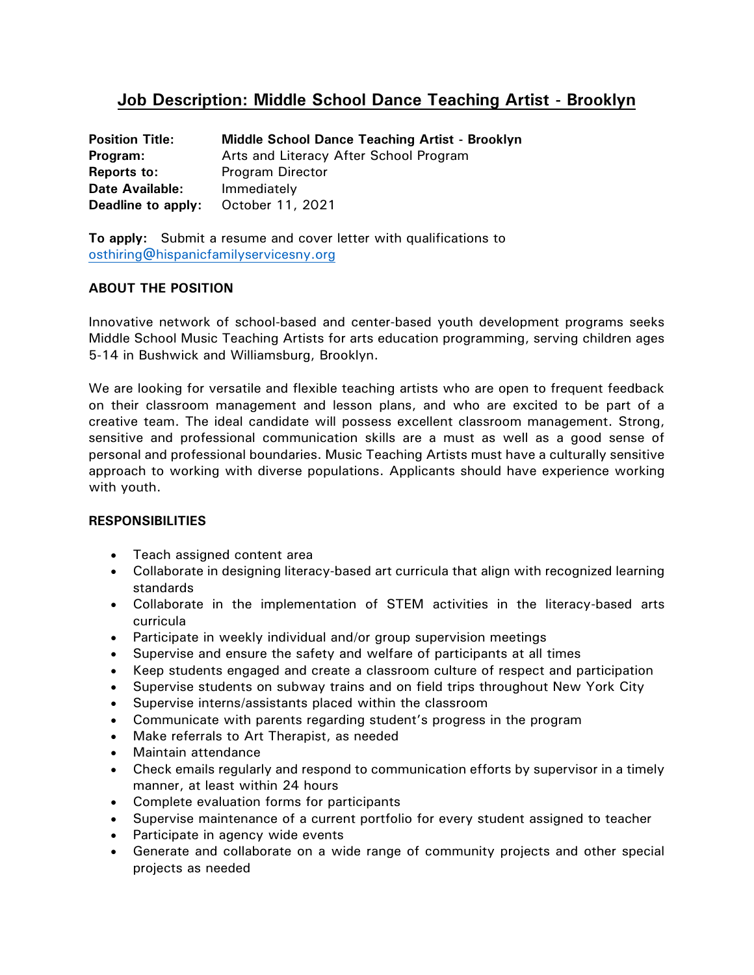# **Job Description: Middle School Dance Teaching Artist - Brooklyn**

| <b>Position Title:</b> | Middle School Dance Teaching Artist - Brooklyn |
|------------------------|------------------------------------------------|
| Program:               | Arts and Literacy After School Program         |
| Reports to:            | Program Director                               |
| <b>Date Available:</b> | Immediately                                    |
| Deadline to apply:     | October 11, 2021                               |

**To apply:** Submit a resume and cover letter with qualifications to [osthiring@hispanicfamilyservicesny.org](mailto:osthiring@hispanicfamilyservicesny.org)

# **ABOUT THE POSITION**

Innovative network of school-based and center-based youth development programs seeks Middle School Music Teaching Artists for arts education programming, serving children ages 5-14 in Bushwick and Williamsburg, Brooklyn.

We are looking for versatile and flexible teaching artists who are open to frequent feedback on their classroom management and lesson plans, and who are excited to be part of a creative team. The ideal candidate will possess excellent classroom management. Strong, sensitive and professional communication skills are a must as well as a good sense of personal and professional boundaries. Music Teaching Artists must have a culturally sensitive approach to working with diverse populations. Applicants should have experience working with youth.

## **RESPONSIBILITIES**

- Teach assigned content area
- Collaborate in designing literacy-based art curricula that align with recognized learning standards
- Collaborate in the implementation of STEM activities in the literacy-based arts curricula
- Participate in weekly individual and/or group supervision meetings
- Supervise and ensure the safety and welfare of participants at all times
- Keep students engaged and create a classroom culture of respect and participation
- Supervise students on subway trains and on field trips throughout New York City
- Supervise interns/assistants placed within the classroom
- Communicate with parents regarding student's progress in the program
- Make referrals to Art Therapist, as needed
- Maintain attendance
- Check emails regularly and respond to communication efforts by supervisor in a timely manner, at least within 24 hours
- Complete evaluation forms for participants
- Supervise maintenance of a current portfolio for every student assigned to teacher
- Participate in agency wide events
- Generate and collaborate on a wide range of community projects and other special projects as needed